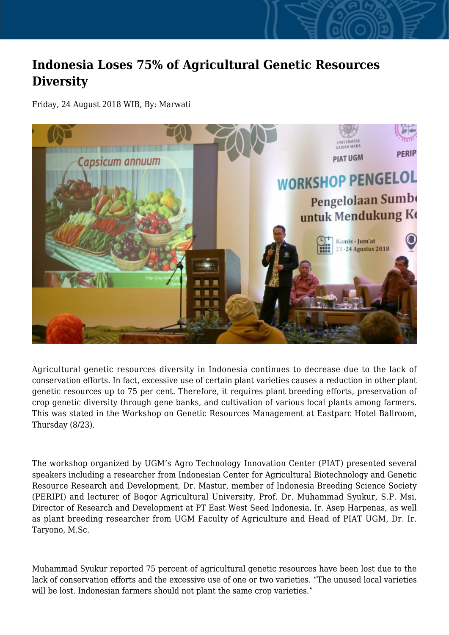## **Indonesia Loses 75% of Agricultural Genetic Resources Diversity**

Friday, 24 August 2018 WIB, By: Marwati



Agricultural genetic resources diversity in Indonesia continues to decrease due to the lack of conservation efforts. In fact, excessive use of certain plant varieties causes a reduction in other plant genetic resources up to 75 per cent. Therefore, it requires plant breeding efforts, preservation of crop genetic diversity through gene banks, and cultivation of various local plants among farmers. This was stated in the Workshop on Genetic Resources Management at Eastparc Hotel Ballroom, Thursday (8/23).

The workshop organized by UGM's Agro Technology Innovation Center (PIAT) presented several speakers including a researcher from Indonesian Center for Agricultural Biotechnology and Genetic Resource Research and Development, Dr. Mastur, member of Indonesia Breeding Science Society (PERIPI) and lecturer of Bogor Agricultural University, Prof. Dr. Muhammad Syukur, S.P. Msi, Director of Research and Development at PT East West Seed Indonesia, Ir. Asep Harpenas, as well as plant breeding researcher from UGM Faculty of Agriculture and Head of PIAT UGM, Dr. Ir. Taryono, M.Sc.

Muhammad Syukur reported 75 percent of agricultural genetic resources have been lost due to the lack of conservation efforts and the excessive use of one or two varieties. "The unused local varieties will be lost. Indonesian farmers should not plant the same crop varieties."